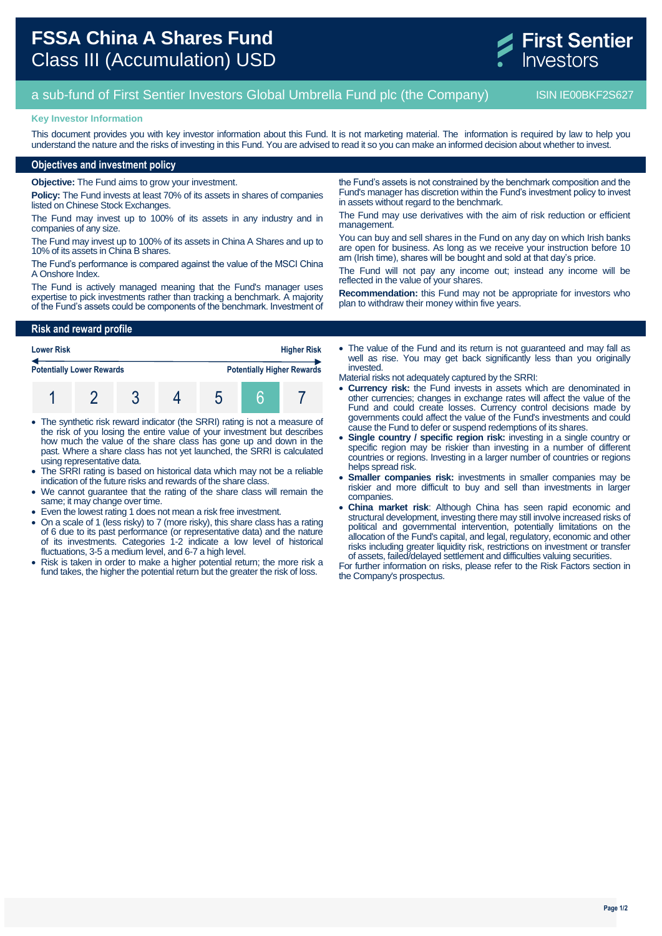

# a sub-fund of First Sentier Investors Global Umbrella Fund plc (the Company) ISIN IE00BKF2S627

#### **Key Investor Information**

This document provides you with key investor information about this Fund. It is not marketing material. The information is required by law to help you understand the nature and the risks of investing in this Fund. You are advised to read it so you can make an informed decision about whether to invest.

## **Objectives and investment policy**

**Objective:** The Fund aims to grow your investment.

**Policy:** The Fund invests at least 70% of its assets in shares of companies listed on Chinese Stock Exchanges.

The Fund may invest up to 100% of its assets in any industry and in companies of any size.

The Fund may invest up to 100% of its assets in China A Shares and up to 10% of its assets in China B shares.

The Fund's performance is compared against the value of the MSCI China A Onshore Index.

The Fund is actively managed meaning that the Fund's manager uses expertise to pick investments rather than tracking a benchmark. A majority of the Fund's assets could be components of the benchmark. Investment of

### **Risk and reward profile**

| <b>Lower Risk</b>                | <b>Higher Risk</b> |  |  |  |  |                                   |
|----------------------------------|--------------------|--|--|--|--|-----------------------------------|
| <b>Potentially Lower Rewards</b> |                    |  |  |  |  | <b>Potentially Higher Rewards</b> |
|                                  |                    |  |  |  |  |                                   |

- The synthetic risk reward indicator (the SRRI) rating is not a measure of the risk of you losing the entire value of your investment but describes how much the value of the share class has gone up and down in the past. Where a share class has not yet launched, the SRRI is calculated using representative data.
- The SRRI rating is based on historical data which may not be a reliable indication of the future risks and rewards of the share class.
- We cannot guarantee that the rating of the share class will remain the same; it may change over time.
- Even the lowest rating 1 does not mean a risk free investment.
- On a scale of 1 (less risky) to 7 (more risky), this share class has a rating of 6 due to its past performance (or representative data) and the nature of its investments. Categories 1-2 indicate a low level of historical fluctuations, 3-5 a medium level, and 6-7 a high level.
- Risk is taken in order to make a higher potential return; the more risk a fund takes, the higher the potential return but the greater the risk of loss.

the Fund's assets is not constrained by the benchmark composition and the Fund's manager has discretion within the Fund's investment policy to invest in assets without regard to the benchmark.

The Fund may use derivatives with the aim of risk reduction or efficient management.

You can buy and sell shares in the Fund on any day on which Irish banks are open for business. As long as we receive your instruction before 10 am (Irish time), shares will be bought and sold at that day's price.

The Fund will not pay any income out; instead any income will be reflected in the value of your shares.

**Recommendation:** this Fund may not be appropriate for investors who plan to withdraw their money within five years.

• The value of the Fund and its return is not quaranteed and may fall as well as rise. You may get back significantly less than you originally invested.

Material risks not adequately captured by the SRRI:

- **Currency risk:** the Fund invests in assets which are denominated in other currencies; changes in exchange rates will affect the value of the Fund and could create losses. Currency control decisions made by governments could affect the value of the Fund's investments and could cause the Fund to defer or suspend redemptions of its shares.
- **Single country / specific region risk:** investing in a single country or specific region may be riskier than investing in a number of different countries or regions. Investing in a larger number of countries or regions helps spread risk.
- **Smaller companies risk:** investments in smaller companies may be riskier and more difficult to buy and sell than investments in larger companies.
- **China market risk**: Although China has seen rapid economic and structural development, investing there may still involve increased risks of political and governmental intervention, potentially limitations on the allocation of the Fund's capital, and legal, regulatory, economic and other risks including greater liquidity risk, restrictions on investment or transfer of assets, failed/delayed settlement and difficulties valuing securities.

For further information on risks, please refer to the Risk Factors section in the Company's prospectus.